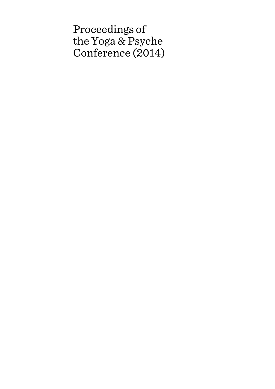Proceedings of the Yoga & Psyche Conference (2014)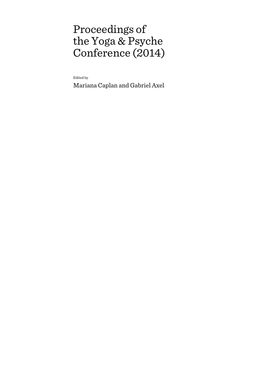# Proceedings of the Yoga & Psyche Conference (2014)

Edited by

Mariana Caplan and Gabriel Axel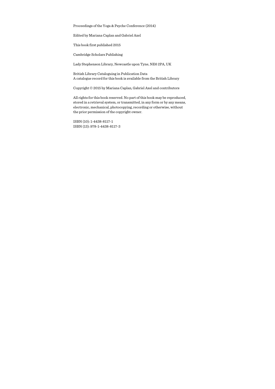Proceedings of the Yoga & Psyche Conference (2014)

Edited by Mariana Caplan and Gabriel Axel

This book first published 2015

Cambridge Scholars Publishing

Lady Stephenson Library, Newcastle upon Tyne, NE6 2PA, UK

British Library Cataloguing in Publication Data A catalogue record for this book is available from the British Library

Copyright © 2015 by Mariana Caplan, Gabriel Axel and contributors

All rights for this book reserved. No part of this book may be reproduced, stored in a retrieval system, or transmitted, in any form or by any means, electronic, mechanical, photocopying, recording or otherwise, without the prior permission of the copyright owner.

ISBN (10): 1-4438-8117-1 ISBN (13): 978-1-4438-8117-3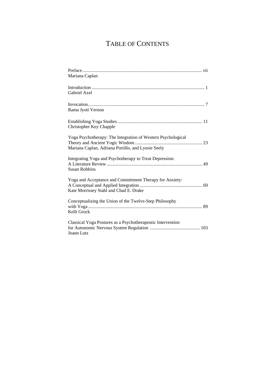## TABLE OF CONTENTS

| Mariana Caplan                                                                                                     |
|--------------------------------------------------------------------------------------------------------------------|
| Gabriel Axel                                                                                                       |
| Rama Jyoti Vernon                                                                                                  |
| Christopher Key Chapple                                                                                            |
| Yoga Psychotherapy: The Integration of Western Psychological<br>Mariana Caplan, Adriana Portillo, and Lynsie Seely |
| Integrating Yoga and Psychotherapy to Treat Depression:<br><b>Susan Robbins</b>                                    |
| Yoga and Acceptance and Commitment Therapy for Anxiety:<br>Kate Morrissey Stahl and Chad E. Drake                  |
| Conceptualizing the Union of the Twelve-Step Philosophy<br>Kelli Grock                                             |
| Classical Yoga Postures as a Psychotherapeutic Intervention<br>Joann Lutz                                          |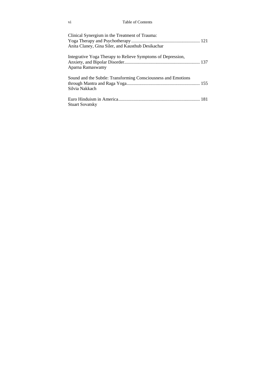### vi Table of Contents

| Clinical Synergism in the Treatment of Trauma:<br>Anita Claney, Gina Siler, and Kausthub Desikachar |  |
|-----------------------------------------------------------------------------------------------------|--|
| Integrative Yoga Therapy to Relieve Symptoms of Depression,<br>Aparna Ramaswamy                     |  |
| Sound and the Subtle: Transforming Consciousness and Emotions<br>Silvia Nakkach                     |  |
| Stuart Sovatsky                                                                                     |  |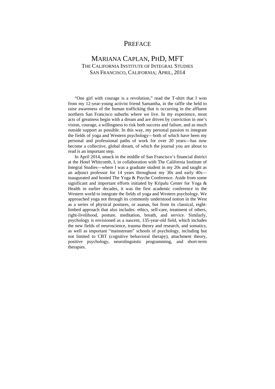### **PREFACE**

### MARIANA CAPLAN, PHD, MFT THE CALIFORNIA INSTITUTE OF INTEGRAL STUDIES SAN FRANCISCO, CALIFORNIA; APRIL, 2014

"One girl with courage is a revolution," read the T-shirt that I won from my 12-year-young activist friend Samantha, in the raffle she held to raise awareness of the human trafficking that is occurring in the affluent northern San Francisco suburbs where we live. In my experience, most acts of greatness begin with a dream and are driven by conviction in one's vision, courage, a willingness to risk both success and failure, and as much outside support as possible. In this way, my personal passion to integrate the fields of yoga and Western psychology—both of which have been my personal and professional paths of work for over 20 years—has now become a collective, global dream, of which the journal you are about to read is an important step.

In April 2014, smack in the middle of San Francisco's financial district at the Hotel Whitcomb, I, in collaboration with The California Institute of Integral Studies—where I was a graduate student in my 20s and taught as an adjunct professor for 14 years throughout my 30s and early 40s inaugurated and hosted The Yoga & Psyche Conference. Aside from some significant and important efforts initiated by Kripalu Center for Yoga & Health in earlier decades, it was the first academic conference in the Western world to integrate the fields of yoga and Western psychology. We approached yoga not through its commonly understood notion in the West as a series of physical postures, or asanas, but from its classical, eightlimbed approach that also includes: ethics, self-care, treatment of others, right-livelihood, posture, meditation, breath, and service. Similarly, psychology is envisioned as a nascent, 135-year-old field, which includes the new fields of neuroscience, trauma theory and research, and somatics, as well as important "mainstream" schools of psychology, including but not limited to CBT (cognitive behavioral therapy), attachment theory, positive psychology, neurolinguistic programming, and short-term therapies.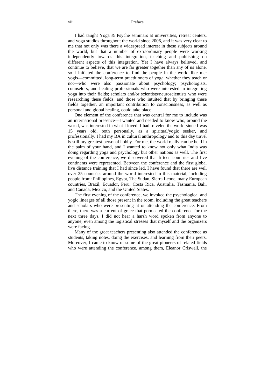#### viii Preface

I had taught Yoga & Psyche seminars at universities, retreat centers, and yoga studios throughout the world since 2006, and it was very clear to me that not only was there a widespread interest in these subjects around the world, but that a number of extraordinary people were working independently towards this integration, teaching and publishing on different aspects of this integration. Yet I have always believed, and continue to believe, that we are far greater together than any of us alone, so I initiated the conference to find the people in the world like me: yogis—committed, long-term practitioners of yoga, whether they teach or not—who were also passionate about psychology; psychologists, counselors, and healing professionals who were interested in integrating yoga into their fields; scholars and/or scientists/neuroscientists who were researching these fields; and those who intuited that by bringing these fields together, an important contribution to consciousness, as well as personal and global healing, could take place.

One element of the conference that was central for me to include was an international presence—I wanted and needed to know who, around the world, was interested in what I loved. I had traveled the world since I was 15 years old, both personally, as a spiritual/yogic seeker, and professionally. I had my BA in cultural anthropology and to this day travel is still my greatest personal hobby. For me, the world really can be held in the palm of your hand, and I wanted to know not only what India was doing regarding yoga and psychology but other nations as well. The first evening of the conference, we discovered that fifteen countries and five continents were represented. Between the conference and the first global live distance training that I had since led, I have found that there are well over 25 countries around the world interested in this material, including people from: Philippines, Egypt, The Sudan, Sierra Leone, many European countries, Brazil, Ecuador, Peru, Costa Rica, Australia, Tasmania, Bali, and Canada, Mexico, and the United States.

The first evening of the conference, we invoked the psychological and yogic lineages of all those present in the room, including the great teachers and scholars who were presenting at or attending the conference. From there, there was a current of grace that permeated the conference for the next three days. I did not hear a harsh word spoken from anyone to anyone, even among the logistical stresses that myself and the organizers were facing.

Many of the great teachers presenting also attended the conference as students, taking notes, doing the exercises, and learning from their peers. Moreover, I came to know of some of the great pioneers of related fields who were attending the conference, among them, Eleanor Criswell, the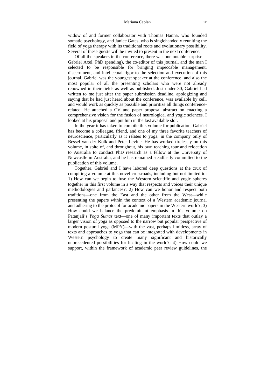widow of and former collaborator with Thomas Hanna, who founded somatic psychology, and Janice Gates, who is singlehandedly reuniting the field of yoga therapy with its traditional roots and evolutionary possibility. Several of these guests will be invited to present in the next conference.

Of all the speakers in the conference, there was one notable surprise— Gabriel Axel, PhD (pending), the co-editor of this journal, and the man I selected to be responsible for bringing impeccable management, discernment, and intellectual rigor to the selection and execution of this journal. Gabriel was the youngest speaker at the conference, and also the most popular of all the presenting scholars who were not already renowned in their fields as well as published. Just under 30, Gabriel had written to me just after the paper submission deadline, apologizing and saying that he had just heard about the conference, was available by cell, and would work as quickly as possible and prioritize all things conferencerelated. He attached a CV and paper proposal abstract on enacting a comprehensive vision for the fusion of neurological and yogic sciences. I looked at his proposal and put him in the last available slot.

In the year it has taken to compile this volume for publication, Gabriel has become a colleague, friend, and one of my three favorite teachers of neuroscience, particularly as it relates to yoga, in the company only of Bessel van der Kolk and Peter Levine. He has worked tirelessly on this volume, in spite of, and throughout, his own teaching tour and relocation to Australia to conduct PhD research as a fellow at the University of Newcastle in Australia, and he has remained steadfastly committed to the publication of this volume.

Together, Gabriel and I have labored deep questions at the crux of compiling a volume at this novel crossroads, including but not limited to: 1) How can we begin to fuse the Western scientific and yogic spheres together in this first volume in a way that respects and voices their unique methodologies and parlances?; 2) How can we honor and respect both traditions—one from the East and the other from the West—while presenting the papers within the context of a Western academic journal and adhering to the protocol for academic papers in the Western world?; 3) How could we balance the predominant emphasis in this volume on Patanjali's *Yoga Sutras* text—one of many important texts that outlay a larger vision of yoga as opposed to the narrow but popular perspective of modern postural yoga (MPY)—with the vast, perhaps limitless, array of texts and approaches to yoga that can be integrated with developments in Western psychology to create many significant and historically unprecedented possibilities for healing in the world?; 4) How could we support, within the framework of academic peer review guidelines, the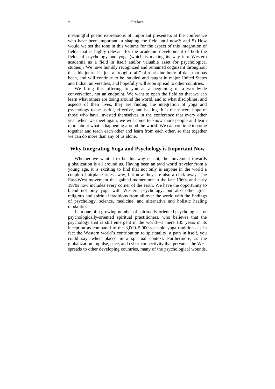#### x Preface

meaningful poetic expressions of important presenters at the conference who have been important in shaping the field until now?; and 5) How would we set the tone in this volume for the aspect of this integration of fields that is highly relevant for the academic development of both the fields of psychology and yoga (which is making its way into Western academia as a field in itself and/or valuable asset for psychological studies)? We have humbly recognized and remained cognizant throughout that this journal is just a "rough draft" of a pristine body of data that has been, and will continue to be, studied and taught in major United States and Indian universities, and hopefully will soon spread to other countries.

We bring this offering to you as a beginning of a worldwide conversation, not an endpoint. We want to open the field so that we can learn what others are doing around the world, and to what disciplines, and aspects of their lives, they are finding the integration of yoga and psychology to be useful, effective, and healing. It is the sincere hope of those who have invested themselves in the conference that every other year when we meet again, we will come to know more people and learn more about what is happening around the world. We can continue to come together and teach each other and learn from each other, so that together we can do more than any of us alone.

#### **Why Integrating Yoga and Psychology is Important Now**

Whether we want it to be this way or not, the movement towards globalization is all around us. Having been an avid world traveler from a young age, it is exciting to find that not only is anyone in the world a couple of airplane rides away, but now they are also a click away. The East-West movement that gained momentum in the late 1960s and early 1970s now includes every corner of the earth. We have the opportunity to blend not only yoga with Western psychology, but also other great religious and spiritual traditions from all over the world with the findings of psychology, science, medicine, and alternative and holistic healing modalities.

I am one of a growing number of spiritually-oriented psychologists, or psychologically-oriented spiritual practitioners, who believes that the psychology that is still emergent in the world—a mere 135 years in its inception as compared to the 3,000–5,000-year-old yoga tradition—is in fact the Western world's contribution to spirituality, a path in itself, you could say, when placed in a spiritual context. Furthermore, as the globalization impulse, pace, and cyber-connectivity that pervades the West spreads to other developing countries, many of the psychological wounds,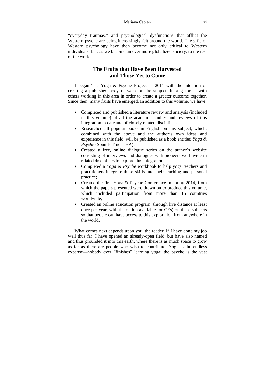#### Mariana Caplan xi

"everyday traumas," and psychological dysfunctions that afflict the Western psyche are being increasingly felt around the world. The gifts of Western psychology have then become not only critical to Western individuals, but, as we become an ever more globalized society, to the rest of the world.

### **The Fruits that Have Been Harvested and Those Yet to Come**

I began The Yoga & Psyche Project in 2011 with the intention of creating a published body of work on the subject, linking forces with others working in this area in order to create a greater outcome together. Since then, many fruits have emerged. In addition to this volume, we have:

- Completed and published a literature review and analysis (included in this volume) of all the academic studies and reviews of this integration to date and of closely related disciplines;
- Researched all popular books in English on this subject, which, combined with the above and the author's own ideas and experience in this field, will be published as a book entitled *Yoga & Psyche* (Sounds True, TBA);
- Created a free, online dialogue series on the author's website consisting of interviews and dialogues with pioneers worldwide in related disciplines to explore this integration;
- Completed a *Yoga & Psyche* workbook to help yoga teachers and practitioners integrate these skills into their teaching and personal practice;
- Created the first Yoga & Psyche Conference in spring 2014, from which the papers presented were drawn on to produce this volume, which included participation from more than 15 countries worldwide;
- Created an online education program (through live distance at least once per year, with the option available for CEs) on these subjects so that people can have access to this exploration from anywhere in the world.

What comes next depends upon you, the reader. If I have done my job well thus far, I have opened an already-open field, but have also named and thus grounded it into this earth, where there is as much space to grow as far as there are people who wish to contribute. Yoga is the endless expanse—nobody ever "finishes" learning yoga; the psyche is the vast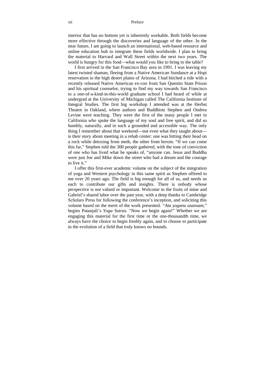#### xii Preface

interior that has no bottom yet is inherently workable. Both fields become more effective through the discoveries and language of the other. In the near future, I am going to launch an international, web-based resource and online education hub to integrate these fields worldwide. I plan to bring the material to Harvard and Wall Street within the next two years. The world is hungry for this food—what would you like to bring to the table?

I first arrived in the San Francisco Bay area in 1991. I was leaving my latest twisted shaman, fleeing from a Native American Sundance at a Hopi reservation in the high desert plains of Arizona. I had hitched a ride with a recently released Native American ex-con from San Quentin State Prison and his spiritual counselor, trying to find my way towards San Francisco to a one-of-a-kind-in-this-world graduate school I had heard of while at undergrad at the University of Michigan called The California Institute of Integral Studies. The first big workshop I attended was at the Herbst Theatre in Oakland, where authors and Buddhists Stephen and Ondrea Levine were teaching. They were the first of the many people I met in California who spoke the language of my soul and free spirit, and did so humbly, naturally, and in such a grounded and accessible way. The only thing I remember about that weekend—not even what they taught about is their story about meeting in a rehab center: one was hitting their head on a rock while detoxing from meth, the other from heroin. "If we can come this far," Stephen told the 300 people gathered, with the tone of conviction of one who has lived what he speaks of, "anyone can. Jesus and Buddha were just Joe and Mike down the street who had a dream and the courage to live it."

I offer this first-ever academic volume on the subject of the integration of yoga and Western psychology in this same spirit as Stephen offered to me over 20 years ago. The field is big enough for all of us, and needs us each to contribute our gifts and insights. There is nobody whose perspective is not valued or important. Welcome to the fruits of mine and Gabriel's shared labor over the past year, with a deep thanks to Cambridge Scholars Press for following the conference's inception, and soliciting this volume based on the merit of the work presented. *"Ata yoganu asansam,*" begins Patanjali's *Yoga Sutras.* "Now we begin again!" Whether we are engaging this material for the first time or the one-thousandth time, we always have the choice to begin freshly again, and to choose to participate in the evolution of a field that truly knows no bounds.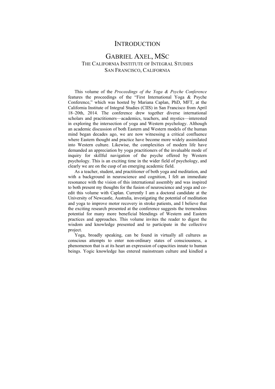### **INTRODUCTION**

### GABRIEL AXEL, MSC THE CALIFORNIA INSTITUTE OF INTEGRAL STUDIES SAN FRANCISCO, CALIFORNIA

This volume of the *Proceedings of the Yoga & Psyche Conference* features the proceedings of the "First International Yoga & Psyche Conference," which was hosted by Mariana Caplan, PhD, MFT, at the California Institute of Integral Studies (CIIS) in San Francisco from April 18–20th, 2014. The conference drew together diverse international scholars and practitioners—academics, teachers, and mystics—interested in exploring the intersection of yoga and Western psychology. Although an academic discussion of both Eastern and Western models of the human mind began decades ago, we are now witnessing a critical confluence where Eastern thought and practice have become more widely assimilated into Western culture. Likewise, the complexities of modern life have demanded an appreciation by yoga practitioners of the invaluable mode of inquiry for skillful navigation of the psyche offered by Western psychology. This is an exciting time in the wider field of psychology, and clearly we are on the cusp of an emerging academic field.

As a teacher, student, and practitioner of both yoga and meditation, and with a background in neuroscience and cognition, I felt an immediate resonance with the vision of this international assembly and was inspired to both present my thoughts for the fusion of neuroscience and yoga and coedit this volume with Caplan. Currently I am a doctoral candidate at the University of Newcastle, Australia, investigating the potential of meditation and yoga to improve motor recovery in stroke patients, and I believe that the exciting research presented at the conference suggests the tremendous potential for many more beneficial blendings of Western and Eastern practices and approaches. This volume invites the reader to digest the wisdom and knowledge presented and to participate in the collective project.

Yoga, broadly speaking, can be found in virtually all cultures as conscious attempts to enter non-ordinary states of consciousness, a phenomenon that is at its heart an expression of capacities innate to human beings. Yogic knowledge has entered mainstream culture and kindled a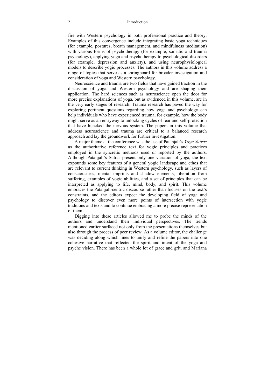#### 2 Introduction

fire with Western psychology in both professional practice and theory. Examples of this convergence include integrating basic yoga techniques (for example, postures, breath management, and mindfulness meditation) with various forms of psychotherapy (for example, somatic and trauma psychology), applying yoga and psychotherapy to psychological disorders (for example, depression and anxiety), and using neurophysiological models to describe yogic processes. The authors in this volume address a range of topics that serve as a springboard for broader investigation and consideration of yoga and Western psychology.

Neuroscience and trauma are two fields that have gained traction in the discussion of yoga and Western psychology and are shaping their application. The hard sciences such as neuroscience open the door for more precise explanations of yoga, but as evidenced in this volume, are in the very early stages of research. Trauma research has paved the way for exploring pertinent questions regarding how yoga and psychology can help individuals who have experienced trauma, for example, how the body might serve as an entryway to unlocking cycles of fear and self-protection that have hijacked the nervous system. The papers in this volume that address neuroscience and trauma are critical to a balanced research approach and lay the groundwork for further investigation.

A major theme at the conference was the use of Patanjali's *Yoga Sutras* as the authoritative reference text for yogic principles and practices employed in the syncretic methods used or reported by the authors. Although Patanjali's Sutras present only one variation of yoga, the text expounds some key features of a general yogic landscape and ethos that are relevant to current thinking in Western psychology, such as layers of consciousness, mental imprints and shadow elements, liberation from suffering, examples of yogic abilities, and a set of principles that can be interpreted as applying to life, mind, body, and spirit. This volume embraces the Patanjali-centric discourse rather than focuses on the text's constraints, and the editors expect the developing field of yoga and psychology to discover even more points of intersection with yogic traditions and texts and to continue embracing a more precise representation of them.

Digging into these articles allowed me to probe the minds of the authors and understand their individual perspectives. The trends mentioned earlier surfaced not only from the presentations themselves but also through the process of peer review. As a volume editor, the challenge was deciding along which lines to unify and refine the papers into one cohesive narrative that reflected the spirit and intent of the yoga and psyche vision. There has been a whole lot of grace and grit, and Mariana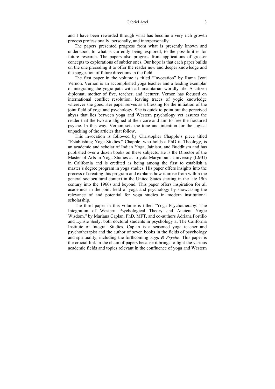#### Gabriel Axel 3

and I have been rewarded through what has become a very rich growth process professionally, personally, and interpersonally.

The papers presented progress from what is presently known and understood, to what is currently being explored, to the possibilities for future research. The papers also progress from applications of grosser concepts to explorations of subtler ones. Our hope is that each paper builds on the one preceding it to offer the reader new and deeper knowledge and the suggestion of future directions in the field.

The first paper in the volume is titled "Invocation" by Rama Jyoti Vernon. Vernon is an accomplished yoga teacher and a leading exemplar of integrating the yogic path with a humanitarian worldly life. A citizen diplomat, mother of five, teacher, and lecturer, Vernon has focused on international conflict resolution, leaving traces of yogic knowledge wherever she goes. Her paper serves as a blessing for the initiation of the joint field of yoga and psychology. She is quick to point out the perceived abyss that lies between yoga and Western psychology yet assures the reader that the two are aligned at their core and aim to free the fractured psyche. In this way, Vernon sets the tone and intention for the logical unpacking of the articles that follow.

This invocation is followed by Christopher Chapple's piece titled "Establishing Yoga Studies." Chapple, who holds a PhD in Theology, is an academic and scholar of Indian Yoga, Jainism, and Buddhism and has published over a dozen books on these subjects. He is the Director of the Master of Arts in Yoga Studies at Loyola Marymount University (LMU) in California and is credited as being among the first to establish a master's degree program in yoga studies. His paper offers insights into the process of creating this program and explains how it arose from within the general sociocultural context in the United States starting in the late 19th century into the 1960s and beyond. This paper offers inspiration for all academics in the joint field of yoga and psychology by showcasing the relevance of and potential for yoga studies in modern institutional scholarship.

The third paper in this volume is titled "Yoga Psychotherapy: The Integration of Western Psychological Theory and Ancient Yogic Wisdom," by Mariana Caplan, PhD, MFT, and co-authors Adriana Portillo and Lynsie Seely, both doctoral students in psychology at The California Institute of Integral Studies. Caplan is a seasoned yoga teacher and psychotherapist and the author of seven books in the fields of psychology and spirituality, including the forthcoming *Yoga & Psyche*. This paper is the crucial link in the chain of papers because it brings to light the various academic fields and topics relevant in the confluence of yoga and Western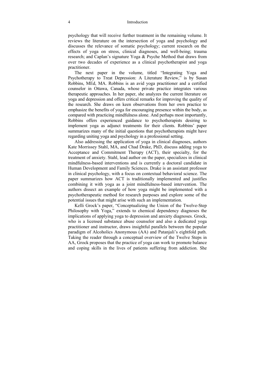#### 4 Introduction

psychology that will receive further treatment in the remaining volume. It reviews the literature on the intersection of yoga and psychology and discusses the relevance of somatic psychology; current research on the effects of yoga on stress, clinical diagnoses, and well-being; trauma research; and Caplan's signature Yoga & Psyche Method that draws from over two decades of experience as a clinical psychotherapist and yoga practitioner.

The next paper in the volume, titled "Integrating Yoga and Psychotherapy to Treat Depression: A Literature Review," is by Susan Robbins, MEd, MA. Robbins is an avid yoga practitioner and a certified counselor in Ottawa, Canada, whose private practice integrates various therapeutic approaches. In her paper, she analyzes the current literature on yoga and depression and offers critical remarks for improving the quality of the research. She draws on keen observations from her own practice to emphasize the benefits of yoga for encouraging presence within the body, as compared with practicing mindfulness alone. And perhaps most importantly, Robbins offers experienced guidance to psychotherapists desiring to implement yoga as adjunct treatments for their clients. Robbins' paper summarizes many of the initial questions that psychotherapists might have regarding uniting yoga and psychology in a professional setting.

Also addressing the application of yoga in clinical diagnoses, authors Kate Morrissey Stahl, MA, and Chad Drake, PhD, discuss adding yoga to Acceptance and Commitment Therapy (ACT), their specialty, for the treatment of anxiety. Stahl, lead author on the paper, specializes in clinical mindfulness-based interventions and is currently a doctoral candidate in Human Development and Family Sciences. Drake is an assistant professor in clinical psychology, with a focus on contextual behavioral science. The paper summarizes how ACT is traditionally implemented and justifies combining it with yoga as a joint mindfulness-based intervention. The authors dissect an example of how yoga might be implemented with a psychotherapeutic method for research purposes and explore some of the potential issues that might arise with such an implementation.

Kelli Grock's paper, "Conceptualizing the Union of the Twelve-Step Philosophy with Yoga," extends to chemical dependency diagnoses the implications of applying yoga to depression and anxiety diagnoses. Grock, who is a licensed substance abuse counselor and also a dedicated yoga practitioner and instructor, draws insightful parallels between the popular paradigm of Alcoholics Anonymous (AA) and Patanjali's eightfold path. Taking the reader through a conceptual overview of the Twelve Steps in AA, Grock proposes that the practice of yoga can work to promote balance and coping skills in the lives of patients suffering from addiction. She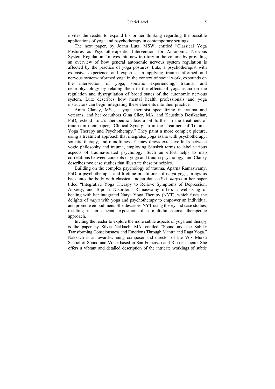invites the reader to expand his or her thinking regarding the possible applications of yoga and psychotherapy in contemporary settings.

The next paper, by Joann Lutz, MSW, entitled "Classical Yoga Postures as Psychotherapeutic Intervention for Autonomic Nervous System Regulation," moves into new territory in the volume by providing an overview of how general autonomic nervous system regulation is affected by the practice of yoga postures. Lutz, a psychotherapist with extensive experience and expertise in applying trauma-informed and nervous system-informed yoga in the context of social work, expounds on the intersection of yoga, somatic experiencing, trauma, and neurophysiology by relating them to the effects of yoga asana on the regulation and dysregulation of broad states of the autonomic nervous system. Lutz describes how mental health professionals and yoga instructors can begin integrating these elements into their practice.

Anita Claney, MSc, a yoga therapist specializing in trauma and veterans, and her coauthors Gina Siler, MA, and Kausthub Desikachar, PhD, extend Lutz's therapeutic ideas a bit further in the treatment of trauma in their paper, "Clinical Synergism in the Treatment of Trauma: Yoga Therapy and Psychotherapy." They paint a more complex picture, using a treatment approach that integrates yoga asana with psychotherapy, somatic therapy, and mindfulness. Claney draws extensive links between yogic philosophy and trauma, employing Sanskrit terms to label various aspects of trauma-related psychology. Such an effort helps to map correlations between concepts in yoga and trauma psychology, and Claney describes two case studies that illustrate these principles.

Building on the complex psychology of trauma, Aparna Ramaswamy, PhD, a psychotherapist and lifetime practitioner of natya yoga, brings us back into the body with classical Indian dance (Skt. *natya*) in her paper titled "Integrative Yoga Therapy to Relieve Symptoms of Depression, Anxiety, and Bipolar Disorder." Ramaswamy offers a wellspring of healing with her integrated Natya Yoga Therapy (NYT), which fuses the delights of *natya* with yoga and psychotherapy to empower an individual and promote embodiment. She describes NYT using theory and case studies, resulting in an elegant exposition of a multidimensional therapeutic approach.

Inviting the reader to explore the more subtle aspects of yoga and therapy is the paper by Silvia Nakkach, MA, entitled "Sound and the Subtle: Transforming Consciousness and Emotions Through Mantra and Raga Yoga." Nakkach is an award-winning composer and director of the Vox Mundi School of Sound and Voice based in San Francisco and Rio de Janeiro. She offers a vibrant and detailed description of the intricate workings of subtle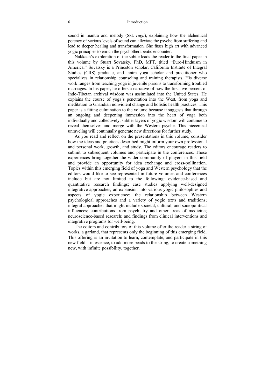#### 6 Introduction

sound in mantra and melody (Skt. *raga*), explaining how the alchemical potency of various levels of sound can alleviate the psyche from suffering and lead to deeper healing and transformation. She fuses high art with advanced yogic principles to enrich the psychotherapeutic encounter.

Nakkach's exploration of the subtle leads the reader to the final paper in this volume by Stuart Sovatsky, PhD, MFT, titled "Euro-Hinduism in America." Sovatsky is a Princeton scholar, California Institute of Integral Studies (CIIS) graduate, and tantra yoga scholar and practitioner who specializes in relationship counseling and training therapists. His diverse work ranges from teaching yoga in juvenile prisons to transforming troubled marriages. In his paper, he offers a narrative of how the first five percent of Indo-Tibetan archival wisdom was assimilated into the United States. He explains the course of yoga's penetration into the West, from yoga and meditation to Ghandian nonviolent change and holistic health practices. This paper is a fitting culmination to the volume because it suggests that through an ongoing and deepening immersion into the heart of yoga both individually and collectively, subtler layers of yogic wisdom will continue to reveal themselves and merge with the Western psyche. This piecemeal unraveling will continually generate new directions for further study.

As you read and reflect on the presentations in this volume, consider how the ideas and practices described might inform your own professional and personal work, growth, and study. The editors encourage readers to submit to subsequent volumes and participate in the conferences. These experiences bring together the wider community of players in this field and provide an opportunity for idea exchange and cross-pollination. Topics within this emerging field of yoga and Western psychology that the editors would like to see represented in future volumes and conferences include but are not limited to the following: evidence-based and quantitative research findings; case studies applying well-designed integrative approaches; an expansion into various yogic philosophies and aspects of yogic experience; the relationship between Western psychological approaches and a variety of yogic texts and traditions; integral approaches that might include societal, cultural, and sociopolitical influences; contributions from psychiatry and other areas of medicine; neuroscience-based research; and findings from clinical interventions and integrative programs for well-being.

The editors and contributors of this volume offer the reader a string of works, a garland, that represents only the beginning of this emerging field. This offering is an invitation to learn, contemplate, and participate in this new field—in essence, to add more beads to the string, to create something new, with infinite possibility, together.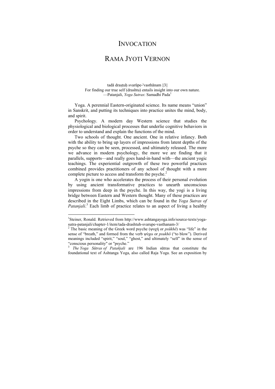### INVOCATION

### RAMA JYOTI VERNON

tadā drastuh svarūpe-'vasthānam ||3|| For finding our true self (drashtu) entails insight into our own nature. —Patanjali, *Yoga Sutras*: Samadhi Pada1

Yoga. A perennial Eastern-originated science. Its name means "union" in Sanskrit, and putting its techniques into practice unites the mind, body, and spirit.

Psychology. A modern day Western science that studies the physiological and biological processes that underlie cognitive behaviors in order to understand and explain the functions of the mind.

Two schools of thought. One ancient. One in relative infancy. Both with the ability to bring up layers of impressions from latent depths of the psyche so they can be seen, processed, and ultimately released. The more we advance in modern psychology, the more we are finding that it parallels, supports—and really goes hand-in-hand with—the ancient yogic teachings. The experiential outgrowth of these two powerful practices combined provides practitioners of any school of thought with a more complete picture to access and transform the psyche.<sup>2</sup>

A yogin is one who accelerates the process of their personal evolution by using ancient transformative practices to unearth unconscious impressions from deep in the psyche. In this way, the yogi is a living bridge between Eastern and Western thought. Many of these practices are described in the Eight Limbs, which can be found in the *Yoga Sutras of*  Patanjali.<sup>3</sup> Each limb of practice relates to an aspect of living a healthy

 $\overline{a}$ 

<sup>&</sup>lt;sup>1</sup>Steiner, Ronald. Retrieved from http://www.ashtangayoga.info/source-texts/yogasutra-patanjali/chapter-1/item/tada-drashtuh-svarupe-vasthanam-3/

<sup>2</sup> The basic meaning of the Greek word psyche (ψυχή or *psūkhē*) was "life" in the sense of "breath," and formed from the verb ψύχω or *psukhō* ("to blow"). Derived meanings included "spirit," "soul," "ghost," and ultimately "self" in the sense of "conscious personality" or "psyche."

<sup>3</sup> *The Yoga Sūtras of Patañjali* are 196 Indian sūtras that constitute the foundational text of Ashtanga Yoga, also called Raja Yoga. See an exposition by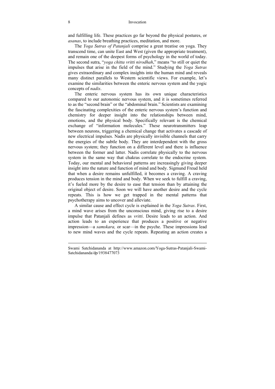and fulfilling life. These practices go far beyond the physical postures, or *asanas*, to include breathing practices, meditation, and more.

The *Yoga Sutras of Patanjali* comprise a great treatise on yoga. They transcend time, can unite East and West (given the appropriate treatment), and remain one of the deepest forms of psychology in the world of today. The second sutra, "*yoga chitta vritti nirodhah*," means "to still or quiet the impulses that arise in the field of the mind." Studying the *Yoga Sutras* gives extraordinary and complex insights into the human mind and reveals many distinct parallels to Western scientific views. For example, let's examine the similarities between the enteric nervous system and the yogic concepts of *nadis*.

The enteric nervous system has its own unique characteristics compared to our autonomic nervous system, and it is sometimes referred to as the "second brain" or the "abdominal brain." Scientists are examining the fascinating complexities of the enteric nervous system's function and chemistry for deeper insight into the relationships between mind, emotions, and the physical body. Specifically relevant is the chemical exchange of "information molecules." These neurotransmitters leap between neurons, triggering a chemical change that activates a cascade of new electrical impulses. Nadis are physically invisible channels that carry the energies of the subtle body. They are interdependent with the gross nervous system; they function on a different level and there is influence between the former and latter. Nadis correlate physically to the nervous system in the same way that chakras correlate to the endocrine system. Today, our mental and behavioral patterns are increasingly giving deeper insight into the nature and function of mind and body. Sigmund Freud held that when a desire remains unfulfilled, it becomes a craving. A craving produces tension in the mind and body. When we seek to fulfill a craving, it's fueled more by the desire to ease that tension than by attaining the original object of desire. Soon we will have another desire and the cycle repeats. This is how we get trapped in the mental patterns that psychotherapy aims to uncover and alleviate.

A similar cause and effect cycle is explained in the *Yoga Sutras*. First, a mind wave arises from the unconscious mind, giving rise to a desire impulse that Patanjali defines as *vritti*. Desire leads to an action. And action leads to an experience that produces a positive or negative impression—a *samskara,* or scar—in the psyche. These impressions lead to new mind waves and the cycle repeats. Repeating an action creates a

 $\overline{a}$ 

Swami Satchidananda at http://www.amazon.com/Yoga-Sutras-Patanjali-Swami-Satchidananda/dp/1938477073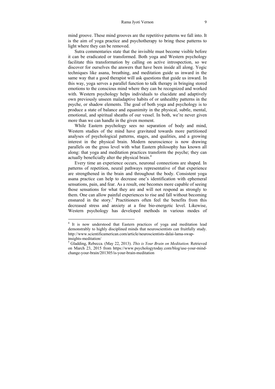mind groove. These mind grooves are the repetitive patterns we fall into. It is the aim of yoga practice and psychotherapy to bring these patterns to light where they can be removed.

Sutra commentaries state that the invisible must become visible before it can be eradicated or transformed. Both yoga and Western psychology facilitate this transformation by calling on active introspection, so we discover for ourselves the answers that have been inside all along. Yogic techniques like asana, breathing, and meditation guide us inward in the same way that a good therapist will ask questions that guide us inward. In this way, yoga serves a parallel function to talk therapy in bringing stored emotions to the conscious mind where they can be recognized and worked with. Western psychology helps individuals to elucidate and adaptively own previously unseen maladaptive habits of or unhealthy patterns in the psyche, or shadow elements. The goal of both yoga and psychology is to produce a state of balance and equanimity in the physical, subtle, mental, emotional, and spiritual sheaths of our vessel. In both, we're never given more than we can handle in the given moment.

While Eastern psychology sees no separation of body and mind, Western studies of the mind have gravitated towards more partitioned analyses of psychological patterns, stages, and qualities, and a growing interest in the physical brain. Modern neuroscience is now drawing parallels on the gross level with what Eastern philosophy has known all along: that yoga and meditation practices transform the psyche; they can actually beneficially alter the physical brain.<sup>4</sup>

Every time an experience occurs, neuronal connections are shaped. In patterns of repetition, neural pathways representative of that experience are strengthened in the brain and throughout the body. Consistent yoga asana practice can help to decrease one's identification with ephemeral sensations, pain, and fear. As a result, one becomes more capable of seeing those sensations for what they are and will not respond as strongly to them. One can allow painful experiences to rise and fall without becoming ensnared in the story.<sup>5</sup> Practitioners often feel the benefits from this decreased stress and anxiety at a fine bio-energetic level. Likewise, Western psychology has developed methods in various modes of

 4 It is now understood that Eastern practices of yoga and meditation lead demonstrably to highly disciplined minds that neuroscientists can fruitfully study. http://www.scientificamerican.com/article/neuroscientists-dalai-lama-swapinsights-meditation/

<sup>5</sup> Gladding, Rebecca. (May 22, 2013). *This is Your Brain on Meditation.* Retrieved on March 23, 2015 from https://www.psychologytoday.com/blog/use-your-mindchange-your-brain/201305/is-your-brain-meditation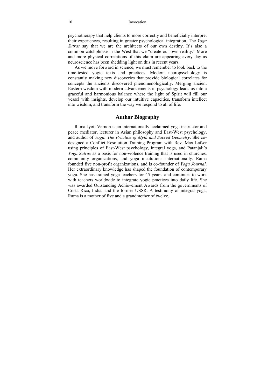psychotherapy that help clients to more correctly and beneficially interpret their experiences, resulting in greater psychological integration. The *Yoga Sutras* say that we are the architects of our own destiny. It's also a common catchphrase in the West that we "create our own reality." More and more physical correlations of this claim are appearing every day as neuroscience has been shedding light on this in recent years.

As we move forward in science, we must remember to look back to the time-tested yogic texts and practices. Modern neuropsychology is constantly making new discoveries that provide biological correlates for concepts the ancients discovered phenomenologically. Merging ancient Eastern wisdom with modern advancements in psychology leads us into a graceful and harmonious balance where the light of Spirit will fill our vessel with insights, develop our intuitive capacities, transform intellect into wisdom, and transform the way we respond to all of life.

### **Author Biography**

Rama Jyoti Vernon is an internationally acclaimed yoga instructor and peace mediator, lecturer in Asian philosophy and East-West psychology, and author of *Yoga: The Practice of Myth and Sacred Geometry*. She codesigned a Conflict Resolution Training Program with Rev. Max Lafser using principles of East-West psychology, integral yoga, and Patanjali's *Yoga Sutras* as a basis for non-violence training that is used in churches, community organizations, and yoga institutions internationally. Rama founded five non-profit organizations, and is co-founder of *Yoga Journal*. Her extraordinary knowledge has shaped the foundation of contemporary yoga. She has trained yoga teachers for 45 years, and continues to work with teachers worldwide to integrate yogic practices into daily life. She was awarded Outstanding Achievement Awards from the governments of Costa Rica, India, and the former USSR. A testimony of integral yoga, Rama is a mother of five and a grandmother of twelve.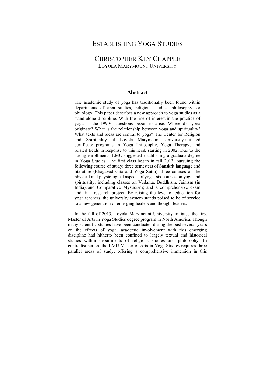### ESTABLISHING YOGA STUDIES

### CHRISTOPHER KEY CHAPPLE LOYOLA MARYMOUNT UNIVERSITY

#### **Abstract**

The academic study of yoga has traditionally been found within departments of area studies, religious studies, philosophy, or philology. This paper describes a new approach to yoga studies as a stand-alone discipline. With the rise of interest in the practice of yoga in the 1990s, questions began to arise: Where did yoga originate? What is the relationship between yoga and spirituality? What texts and ideas are central to yoga? The Center for Religion and Spirituality at Loyola Marymount University initiated certificate programs in Yoga Philosophy, Yoga Therapy, and related fields in response to this need, starting in 2002. Due to the strong enrollments, LMU suggested establishing a graduate degree in Yoga Studies. The first class began in fall 2013, pursuing the following course of study: three semesters of Sanskrit language and literature (Bhagavad Gita and Yoga Sutra); three courses on the physical and physiological aspects of yoga; six courses on yoga and spirituality, including classes on Vedanta, Buddhism, Jainism (in India), and Comparative Mysticism; and a comprehensive exam and final research project. By raising the level of education for yoga teachers, the university system stands poised to be of service to a new generation of emerging healers and thought leaders.

In the fall of 2013, Loyola Marymount University initiated the first Master of Arts in Yoga Studies degree program in North America. Though many scientific studies have been conducted during the past several years on the effects of yoga, academic involvement with this emerging discipline had hitherto been confined to largely textual and historical studies within departments of religious studies and philosophy. In contradistinction, the LMU Master of Arts in Yoga Studies requires three parallel areas of study, offering a comprehensive immersion in this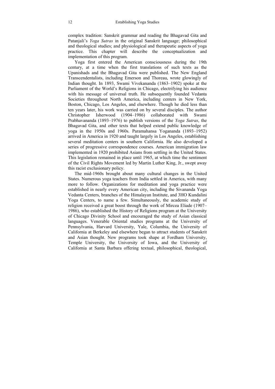complex tradition: Sanskrit grammar and reading the Bhagavad Gita and Patanjali's *Yoga Sutras* in the original Sanskrit language; philosophical and theological studies; and physiological and therapeutic aspects of yoga practice. This chapter will describe the conceptualization and implementation of this program.

Yoga first entered the American consciousness during the 19th century, at a time when the first translations of such texts as the Upanishads and the Bhagavad Gita were published. The New England Transcendentalists, including Emerson and Thoreau, wrote glowingly of Indian thought. In 1893, Swami Vivekananda (1863–1902) spoke at the Parliament of the World's Religions in Chicago, electrifying his audience with his message of universal truth. He subsequently founded Vedanta Societies throughout North America, including centers in New York, Boston, Chicago, Los Angeles, and elsewhere. Though he died less than ten years later, his work was carried on by several disciples. The author<br>Christopher Isherwood (1904–1986) collaborated with Swami Christopher Isherwood (1904–1986) collaborated with Swami Prabhavananda (1893–1976) to publish versions of the *Yoga Sutras*, the Bhagavad Gita, and other texts that helped extend public knowledge of yoga in the 1950s and 1960s. Paramahansa Yogananda (1893–1952) arrived in America in 1920 and taught largely in Los Angeles, establishing several meditation centers in southern California. He also developed a series of progressive correspondence courses. American immigration law implemented in 1920 prohibited Asians from settling in the United States. This legislation remained in place until 1965, at which time the sentiment of the Civil Rights Movement led by Martin Luther King, Jr., swept away this racist exclusionary policy.

The mid-1960s brought about many cultural changes in the United States. Numerous yoga teachers from India settled in America, with many more to follow. Organizations for meditation and yoga practice were established in nearly every American city, including the Sivananda Yoga Vedanta Centers, branches of the Himalayan Institute, and 3HO Kundalini Yoga Centers, to name a few. Simultaneously, the academic study of religion received a great boost through the work of Mircea Eliade (1907– 1986), who established the History of Religions program at the University of Chicago Divinity School and encouraged the study of Asian classical languages. Venerable Oriental studies programs at the University of Pennsylvania, Harvard University, Yale, Columbia, the University of California at Berkeley and elsewhere began to attract students of Sanskrit and Asian thought. New programs took shape at Fordham University, Temple University, the University of Iowa, and the University of California at Santa Barbara offering textual, philosophical, theological,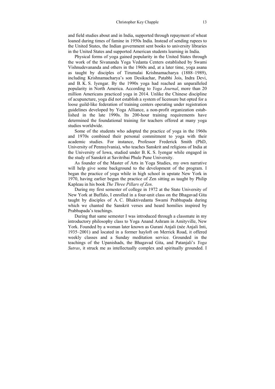and field studies about and in India, supported through repayment of wheat loaned during times of famine in 1950s India. Instead of sending rupees to the United States, the Indian government sent books to university libraries in the United States and supported American students learning in India.

Physical forms of yoga gained popularity in the United States through the work of the Sivananda Yoga Vedanta Centers established by Swami Vishnudevananda and others in the 1960s and, at a later time, yoga asana as taught by disciples of Tirumalai Krishnamacharya (1888–1989), including Krishnamacharya's son Desikachar, Patabhi Jois, Indra Devi, and B. K. S. Iyengar. By the 1990s yoga had reached an unparalleled popularity in North America. According to *Yoga Journal*, more than 20 million Americans practiced yoga in 2014. Unlike the Chinese discipline of acupuncture, yoga did not establish a system of licensure but opted for a loose guild-like federation of training centers operating under registration guidelines developed by Yoga Alliance, a non-profit organization established in the late 1990s. Its 200-hour training requirements have determined the foundational training for teachers offered at many yoga studios worldwide.

Some of the students who adopted the practice of yoga in the 1960s and 1970s combined their personal commitment to yoga with their academic studies. For instance, Professor Frederick Smith (PhD, University of Pennsylvania), who teaches Sanskrit and religions of India at the University of Iowa, studied under B. K. S. Iyengar while engaged in the study of Sanskrit at Savitribai Phule Pune University.

As founder of the Master of Arts in Yoga Studies, my own narrative will help give some background to the development of the program. I began the practice of yoga while in high school in upstate New York in 1970, having earlier begun the practice of Zen sitting as taught by Philip Kapleau in his book *The Three Pillars of Zen*.

During my first semester of college in 1972 at the State University of New York at Buffalo, I enrolled in a four-unit class on the Bhagavad Gita taught by disciples of A. C. Bhaktivedanta Swami Prabhupada during which we chanted the Sanskrit verses and heard homilies inspired by Prabhupada's teachings.

During that same semester I was introduced through a classmate in my introductory philosophy class to Yoga Anand Ashram in Amityville, New York. Founded by a woman later known as Gurani Anjali (née Anjali Inti, 1935–2001) and located in a former hayloft on Merrick Road, it offered weekly classes and a Sunday meditation service. Grounded in the teachings of the Upanishads, the Bhagavad Gita, and Patanjali's *Yoga Sutras*, it struck me as intellectually complex and spiritually grounded. I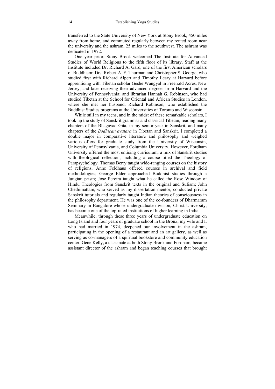transferred to the State University of New York at Stony Brook, 450 miles away from home, and commuted regularly between my rented room near the university and the ashram, 25 miles to the southwest. The ashram was dedicated in 1972.

One year prior, Stony Brook welcomed The Institute for Advanced Studies of World Religions to the fifth floor of its library. Staff at the Institute included Dr. Richard A. Gard, one of the first American scholars of Buddhism; Drs. Robert A. F. Thurman and Christopher S. George, who studied first with Richard Alpert and Timothy Leary at Harvard before apprenticing with Tibetan scholar Geshe Wangyal in Freehold Acres, New Jersey, and later receiving their advanced degrees from Harvard and the University of Pennsylvania; and librarian Hannah G. Robinson, who had studied Tibetan at the School for Oriental and African Studies in London, where she met her husband, Richard Robinson, who established the Buddhist Studies programs at the Universities of Toronto and Wisconsin.

While still in my teens, and in the midst of these remarkable scholars, I took up the study of Sanskrit grammar and classical Tibetan, reading many chapters of the Bhagavad Gita, in my senior year in Sanskrit, and many chapters of the *Bodhicaryavatara* in Tibetan and Sanskrit. I completed a double major in comparative literature and philosophy and weighed various offers for graduate study from the University of Wisconsin, University of Pennsylvania, and Columbia University. However, Fordham University offered the most enticing curriculum, a mix of Sanskrit studies with theological reflection, including a course titled the Theology of Parapsychology. Thomas Berry taught wide-ranging courses on the history of religions; Anne Feldhaus offered courses in archival and field methodologies; George Elder approached Buddhist studies through a Jungian prism; Jose Pereira taught what he called the Rose Window of Hindu Theologies from Sanskrit texts in the original and Sufism; John Chethimattam, who served as my dissertation mentor, conducted private Sanskrit tutorials and regularly taught Indian theories of consciousness in the philosophy department. He was one of the co-founders of Dharmaram Seminary in Bangalore whose undergraduate division, Christ University, has become one of the top-rated institutions of higher learning in India.

Meanwhile, through these three years of undergraduate education on Long Island and four years of graduate school in the Bronx, my wife and I, who had married in 1974, deepened our involvement in the ashram, participating in the opening of a restaurant and an art gallery, as well as serving as co-managers of a spiritual bookstore and community education center. Gene Kelly, a classmate at both Stony Brook and Fordham, became assistant director of the ashram and began teaching courses that brought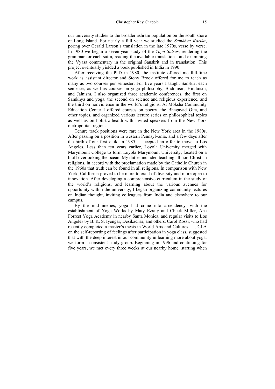our university studies to the broader ashram population on the south shore of Long Island. For nearly a full year we studied the *Samkhya Karika*, poring over Gerald Larson's translation in the late 1970s, verse by verse. In 1980 we began a seven-year study of the *Yoga Sutras*, rendering the grammar for each sutra, reading the available translations, and examining the Vyasa commentary in the original Sanskrit and in translation. This project eventually yielded a book published in India in 1990.

After receiving the PhD in 1980, the institute offered me full-time work as assistant director and Stony Brook offered for me to teach as many as two courses per semester. For five years I taught Sanskrit each semester, as well as courses on yoga philosophy, Buddhism, Hinduism, and Jainism. I also organized three academic conferences, the first on Samkhya and yoga, the second on science and religious experience, and the third on nonviolence in the world's religions. At Moksha Community Education Center I offered courses on poetry, the Bhagavad Gita, and other topics, and organized various lecture series on philosophical topics as well as on holistic health with invited speakers from the New York metropolitan region.

Tenure track positions were rare in the New York area in the 1980s. After passing on a position in western Pennsylvania, and a few days after the birth of our first child in 1985, I accepted an offer to move to Los Angeles. Less than ten years earlier, Loyola University merged with Marymount College to form Loyola Marymount University, located on a bluff overlooking the ocean. My duties included teaching all non-Christian religions, in accord with the proclamation made by the Catholic Church in the 1960s that truth can be found in all religions. In comparison with New York, California proved to be more tolerant of diversity and more open to innovation. After developing a comprehensive curriculum in the study of the world's religions, and learning about the various avenues for opportunity within the university, I began organizing community lectures on Indian thought, inviting colleagues from India and elsewhere to our campus.

By the mid-nineties, yoga had come into ascendency, with the establishment of Yoga Works by Maty Ezraty and Chuck Miller, Ana Forrest Yoga Academy in nearby Santa Monica, and regular visits to Los Angeles by B. K. S. Iyengar, Desikachar, and others. Carol Rossi, who had recently completed a master's thesis in World Arts and Cultures at UCLA on the self-reporting of feelings after participation in yoga class, suggested that with the deep interest in our community in learning more about yoga, we form a consistent study group. Beginning in 1996 and continuing for five years, we met every three weeks at our nearby home, starting when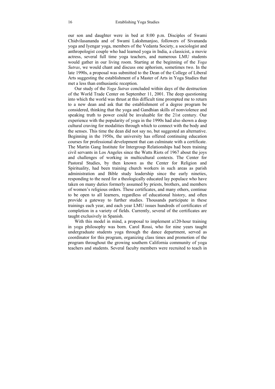our son and daughter were in bed at 8:00 p.m. Disciples of Swami Chidvilasananda and of Swami Lakshmanjoo, followers of Sivananda yoga and Iyengar yoga, members of the Vedanta Society, a sociologist and anthropologist couple who had learned yoga in India, a classicist, a movie actress, several full time yoga teachers, and numerous LMU students would gather in our living room. Starting at the beginning of the *Yoga Sutras*, we would chant and discuss one aphorism, sometimes two. In the late 1990s, a proposal was submitted to the Dean of the College of Liberal Arts suggesting the establishment of a Master of Arts in Yoga Studies that met a less than enthusiastic reception.

Our study of the *Yoga Sutras* concluded within days of the destruction of the World Trade Center on September 11, 2001. The deep questioning into which the world was thrust at this difficult time prompted me to return to a new dean and ask that the establishment of a degree program be considered, thinking that the yoga and Gandhian skills of nonviolence and speaking truth to power could be invaluable for the 21st century. Our experience with the popularity of yoga in the 1990s had also shown a deep cultural craving for modalities through which to connect with the body and the senses. This time the dean did not say no, but suggested an alternative. Beginning in the 1950s, the university has offered continuing education courses for professional development that can culminate with a certificate. The Martin Gang Institute for Intergroup Relationships had been training civil servants in Los Angeles since the Watts Riots of 1967 about the joys and challenges of working in multicultural contexts. The Center for Pastoral Studies, by then known as the Center for Religion and Spirituality, had been training church workers in such areas as parish administration and Bible study leadership since the early nineties, responding to the need for a theologically educated lay populace who have taken on many duties formerly assumed by priests, brothers, and members of women's religious orders. These certificates, and many others, continue to be open to all learners, regardless of educational history, and often provide a gateway to further studies. Thousands participate in these trainings each year, and each year LMU issues hundreds of certificates of completion in a variety of fields. Currently, several of the certificates are taught exclusively in Spanish.

With this model in mind, a proposal to implement a120-hour training in yoga philosophy was born. Carol Rossi, who for nine years taught undergraduate students yoga through the dance department, served as coordinator for this program, organizing class times and promotion of the program throughout the growing southern California community of yoga teachers and students. Several faculty members were recruited to teach in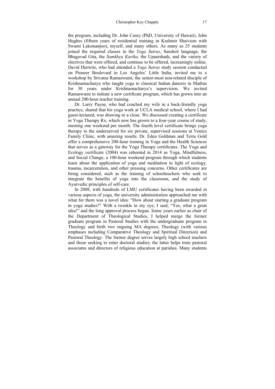the program, including Dr. John Casey (PhD, University of Hawaii), John Hughes (fifteen years of residential training in Kashmir Shaivism with Swami Laksmanioo), myself, and many others. As many as 25 students joined the required classes in the *Yoga Sutras*, Sanskrit language, the Bhagavad Gita, the *Samkhya Karika,* the Upanishads, and the variety of electives that were offered, and continue to be offered, increasingly online. David Hurwitz, who had attended a *Yoga Sutras* study session conducted on Pioneer Boulevard in Los Angeles' Little India, invited me to a workshop by Srivatsa Ramaswami, the senior-most non-related disciple of Krishnamacharya who taught yoga to classical Indian dancers in Madras for 30 years under Krishnamacharya's supervision. We invited Ramaswami to initiate a new certificate program, which has grown into an annual 200-hour teacher training.

Dr. Larry Payne, who had coached my wife in a back-friendly yoga practice, shared that his yoga work at UCLA medical school, where I had guest-lectured, was drawing to a close. We discussed creating a certificate in Yoga Therapy Rx, which now has grown to a four-year course of study, meeting one weekend per month. The fourth level certificate brings yoga therapy to the underserved for six private, supervised sessions at Venice Family Clinic, with amazing results. Dr. Eden Goldman and Terra Gold offer a comprehensive 200-hour training in Yoga and the Health Sciences that serves as a gateway for the Yoga Therapy certificates. The Yoga and Ecology certificate (2004) was rebooted in 2014 as Yoga, Mindfulness, and Social Change, a 100-hour weekend program through which students learn about the application of yoga and meditation in light of ecology, trauma, incarceration, and other pressing concerns. Other certificates are being considered, such as the training of schoolteachers who seek to integrate the benefits of yoga into the classroom, and the study of Ayurvedic principles of self-care.

In 2008, with hundreds of LMU certificates having been awarded in various aspects of yoga, the university administration approached me with what for them was a novel idea: "How about starting a graduate program in yoga studies?" With a twinkle in my eye, I said, "Yes, what a great idea!" and the long approval process began. Some years earlier as chair of the Department of Theological Studies, I helped merge the former graduate program in Pastoral Studies with the undergraduate program in Theology and birth two ongoing MA degrees, Theology (with various emphases including Comparative Theology and Spiritual Direction) and Pastoral Theology. The former degree serves largely high school teachers and those seeking to enter doctoral studies; the latter helps train pastoral associates and directors of religious education at parishes. Many students